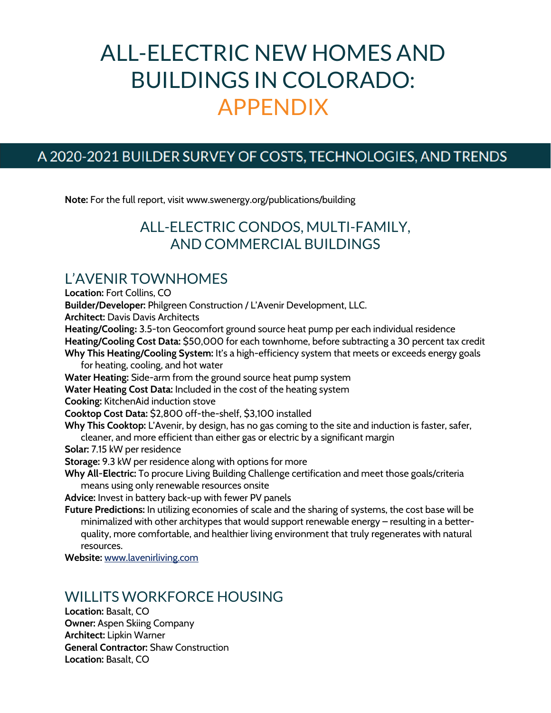# ALL-ELECTRIC NEW HOMES AND BUILDINGS IN COLORADO: APPENDIX

#### A 2020-2021 BUILDER SURVEY OF COSTS, TECHNOLOGIES, AND TRENDS

**Note:** For the full report, visit www.swenergy.org/publications/building

## ALL-ELECTRIC CONDOS, MULTI-FAMILY, AND COMMERCIAL BUILDINGS

#### L'AVENIR TOWNHOMES

**Location:** Fort Collins, CO **Builder/Developer:** Philgreen Construction / L'Avenir Development, LLC. **Architect:** Davis Davis Architects **Heating/Cooling:** 3.5-ton Geocomfort ground source heat pump per each individual residence **Heating/Cooling Cost Data:** \$50,000 for each townhome, before subtracting a 30 percent tax credit **Why This Heating/Cooling System:** It's a high-efficiency system that meets or exceeds energy goals for heating, cooling, and hot water **Water Heating:** Side-arm from the ground source heat pump system **Water Heating Cost Data:** Included in the cost of the heating system **Cooking:** KitchenAid induction stove **Cooktop Cost Data:** \$2,800 off-the-shelf, \$3,100 installed **Why This Cooktop:** L'Avenir, by design, has no gas coming to the site and induction is faster, safer, cleaner, and more efficient than either gas or electric by a significant margin **Solar:** 7.15 kW per residence **Storage:** 9.3 kW per residence along with options for more **Why All-Electric:** To procure Living Building Challenge certification and meet those goals/criteria means using only renewable resources onsite **Advice:** Invest in battery back-up with fewer PV panels **Future Predictions:** In utilizing economies of scale and the sharing of systems, the cost base will be minimalized with other architypes that would support renewable energy – resulting in a betterquality, more comfortable, and healthier living environment that truly regenerates with natural resources.

**Website:** www.lavenirliving.com

## WILLITS WORKFORCE HOUSING

**Location:** Basalt, CO **Owner:** Aspen Skiing Company **Architect:** Lipkin Warner **General Contractor:** Shaw Construction **Location:** Basalt, CO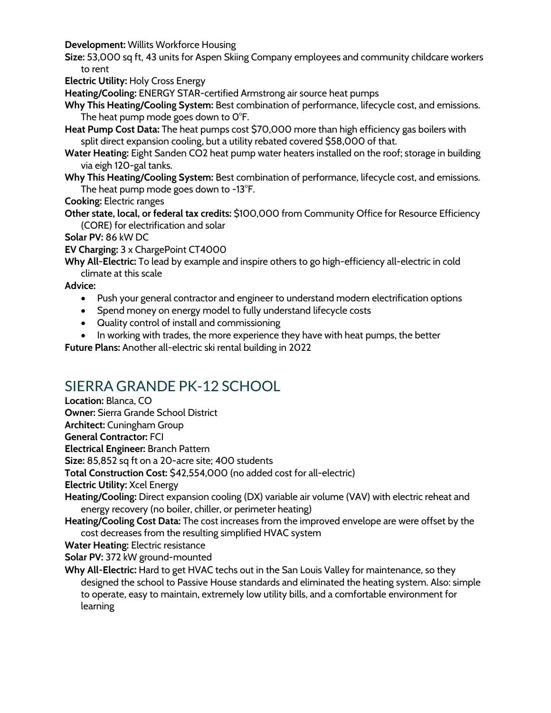**Development:** Willits Workforce Housing

**Size:** 53,000 sq ft, 43 units for Aspen Skiing Company employees and community childcare workers to rent

**Electric Utility:** Holy Cross Energy

**Heating/Cooling:** ENERGY STAR-certified Armstrong air source heat pumps

- **Why This Heating/Cooling System:** Best combination of performance, lifecycle cost, and emissions. The heat pump mode goes down to 0°F.
- **Heat Pump Cost Data:** The heat pumps cost \$70,000 more than high efficiency gas boilers with split direct expansion cooling, but a utility rebated covered \$58,000 of that.
- **Water Heating:** Eight Sanden CO2 heat pump water heaters installed on the roof; storage in building via eigh 120-gal tanks.
- **Why This Heating/Cooling System:** Best combination of performance, lifecycle cost, and emissions. The heat pump mode goes down to -13°F.

**Cooking:** Electric ranges

**Other state, local, or federal tax credits:** \$100,000 from Community Office for Resource Efficiency (CORE) for electrification and solar

**Solar PV:** 86 kW DC

**EV Charging:** 3 x ChargePoint CT4000

**Why All-Electric:** To lead by example and inspire others to go high-efficiency all-electric in cold climate at this scale

**Advice:** 

- Push your general contractor and engineer to understand modern electrification options
- Spend money on energy model to fully understand lifecycle costs
- Quality control of install and commissioning
- In working with trades, the more experience they have with heat pumps, the better

**Future Plans:** Another all-electric ski rental building in 2022

# SIERRA GRANDE PK-12 SCHOOL

**Location:** Blanca, CO **Owner:** Sierra Grande School District **Architect:** Cuningham Group **General Contractor:** FCI **Electrical Engineer:** Branch Pattern **Size:** 85,852 sq ft on a 20-acre site; 400 students **Total Construction Cost:** \$42,554,000 (no added cost for all-electric) **Electric Utility:** Xcel Energy **Heating/Cooling:** Direct expansion cooling (DX) variable air volume (VAV) with electric reheat and energy recovery (no boiler, chiller, or perimeter heating) **Heating/Cooling Cost Data:** The cost increases from the improved envelope are were offset by the cost decreases from the resulting simplified HVAC system **Water Heating:** Electric resistance **Solar PV:** 372 kW ground-mounted **Why All-Electric:** Hard to get HVAC techs out in the San Louis Valley for maintenance, so they designed the school to Passive House standards and eliminated the heating system. Also: simple to operate, easy to maintain, extremely low utility bills, and a comfortable environment for learning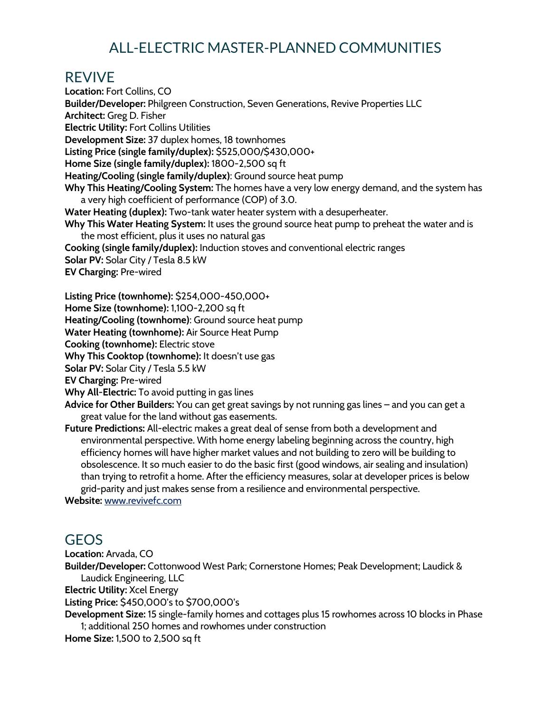# ALL-ELECTRIC MASTER-PLANNED COMMUNITIES

#### REVIVE

**Location:** Fort Collins, CO **Builder/Developer:** Philgreen Construction, Seven Generations, Revive Properties LLC **Architect:** Greg D. Fisher **Electric Utility:** Fort Collins Utilities **Development Size:** 37 duplex homes, 18 townhomes **Listing Price (single family/duplex):** \$525,000/\$430,000+ **Home Size (single family/duplex):** 1800-2,500 sq ft **Heating/Cooling (single family/duplex)**: Ground source heat pump **Why This Heating/Cooling System:** The homes have a very low energy demand, and the system has a very high coefficient of performance (COP) of 3.0. **Water Heating (duplex):** Two-tank water heater system with a desuperheater. **Why This Water Heating System:** It uses the ground source heat pump to preheat the water and is the most efficient, plus it uses no natural gas **Cooking (single family/duplex):** Induction stoves and conventional electric ranges **Solar PV:** Solar City / Tesla 8.5 kW **EV Charging:** Pre-wired **Listing Price (townhome):** \$254,000-450,000+ **Home Size (townhome):** 1,100-2,200 sq ft **Heating/Cooling (townhome)**: Ground source heat pump **Water Heating (townhome):** Air Source Heat Pump **Cooking (townhome):** Electric stove **Why This Cooktop (townhome):** It doesn't use gas **Solar PV:** Solar City / Tesla 5.5 kW **EV Charging:** Pre-wired **Why All-Electric:** To avoid putting in gas lines **Advice for Other Builders:** You can get great savings by not running gas lines – and you can get a great value for the land without gas easements. **Future Predictions:** All-electric makes a great deal of sense from both a development and environmental perspective. With home energy labeling beginning across the country, high efficiency homes will have higher market values and not building to zero will be building to obsolescence. It so much easier to do the basic first (good windows, air sealing and insulation) than trying to retrofit a home. After the efficiency measures, solar at developer prices is below grid-parity and just makes sense from a resilience and environmental perspective. **Website:** www.revivefc.com

#### GEOS

**Location:** Arvada, CO

**Builder/Developer:** Cottonwood West Park; Cornerstone Homes; Peak Development; Laudick & Laudick Engineering, LLC

**Electric Utility:** Xcel Energy

**Listing Price:** \$450,000's to \$700,000's

**Development Size:** 15 single-family homes and cottages plus 15 rowhomes across 10 blocks in Phase 1; additional 250 homes and rowhomes under construction

**Home Size:** 1,500 to 2,500 sq ft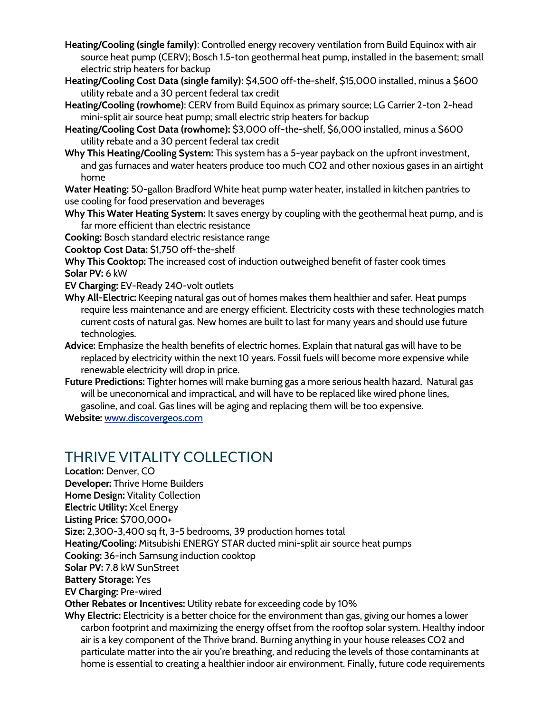- **Heating/Cooling (single family)**: Controlled energy recovery ventilation from Build Equinox with air source heat pump (CERV); Bosch 1.5-ton geothermal heat pump, installed in the basement; small electric strip heaters for backup
- Heating/Cooling Cost Data (single family): \$4,500 off-the-shelf, \$15,000 installed, minus a \$600 utility rebate and a 30 percent federal tax credit
- **Heating/Cooling (rowhome)**: CERV from Build Equinox as primary source; LG Carrier 2-ton 2-head mini-split air source heat pump; small electric strip heaters for backup
- Heating/Cooling Cost Data (rowhome): \$3,000 off-the-shelf, \$6,000 installed, minus a \$600 utility rebate and a 30 percent federal tax credit
- **Why This Heating/Cooling System:** This system has a 5-year payback on the upfront investment, and gas furnaces and water heaters produce too much CO2 and other noxious gases in an airtight home

**Water Heating:** 50-gallon Bradford White heat pump water heater, installed in kitchen pantries to use cooling for food preservation and beverages

**Why This Water Heating System:** It saves energy by coupling with the geothermal heat pump, and is far more efficient than electric resistance

**Cooking:** Bosch standard electric resistance range

**Cooktop Cost Data:** \$1,750 off-the-shelf

**Why This Cooktop:** The increased cost of induction outweighed benefit of faster cook times **Solar PV:** 6 kW

**EV Charging:** EV-Ready 240-volt outlets

- **Why All-Electric:** Keeping natural gas out of homes makes them healthier and safer. Heat pumps require less maintenance and are energy efficient. Electricity costs with these technologies match current costs of natural gas. New homes are built to last for many years and should use future technologies.
- **Advice:** Emphasize the health benefits of electric homes. Explain that natural gas will have to be replaced by electricity within the next 10 years. Fossil fuels will become more expensive while renewable electricity will drop in price.
- **Future Predictions:** Tighter homes will make burning gas a more serious health hazard. Natural gas will be uneconomical and impractical, and will have to be replaced like wired phone lines, gasoline, and coal. Gas lines will be aging and replacing them will be too expensive.

**Website:** www.discovergeos.com

## THRIVE VITALITY COLLECTION

**Location:** Denver, CO **Developer:** Thrive Home Builders **Home Design:** Vitality Collection **Electric Utility:** Xcel Energy **Listing Price:** \$700,000+ **Size:** 2,300-3,400 sq ft, 3-5 bedrooms, 39 production homes total **Heating/Cooling:** Mitsubishi ENERGY STAR ducted mini-split air source heat pumps **Cooking:** 36-inch Samsung induction cooktop **Solar PV:** 7.8 kW SunStreet **Battery Storage:** Yes **EV Charging:** Pre-wired **Other Rebates or Incentives:** Utility rebate for exceeding code by 10% **Why Electric:** Electricity is a better choice for the environment than gas, giving our homes a lower carbon footprint and maximizing the energy offset from the rooftop solar system. Healthy indoor air is a key component of the Thrive brand. Burning anything in your house releases CO2 and

particulate matter into the air you're breathing, and reducing the levels of those contaminants at home is essential to creating a healthier indoor air environment. Finally, future code requirements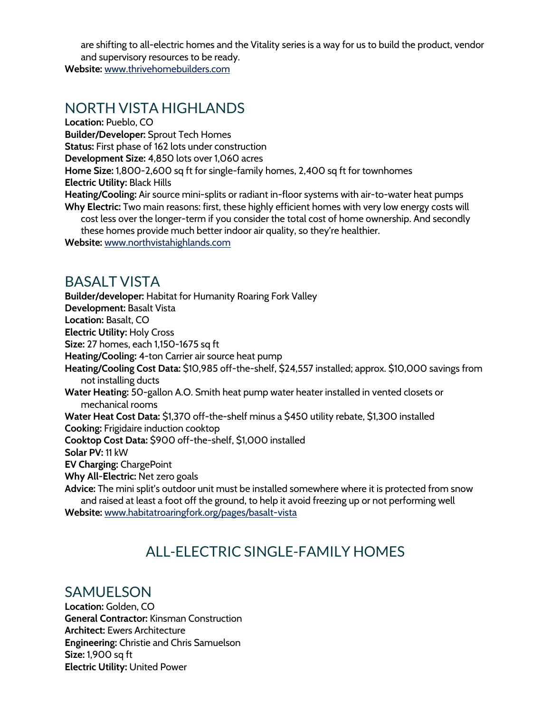are shifting to all-electric homes and the Vitality series is a way for us to build the product, vendor and supervisory resources to be ready.

**Website:** www.thrivehomebuilders.com

#### NORTH VISTA HIGHLANDS

**Location:** Pueblo, CO **Builder/Developer:** Sprout Tech Homes **Status:** First phase of 162 lots under construction **Development Size:** 4,850 lots over 1,060 acres **Home Size:** 1,800-2,600 sq ft for single-family homes, 2,400 sq ft for townhomes **Electric Utility:** Black Hills **Heating/Cooling:** Air source mini-splits or radiant in-floor systems with air-to-water heat pumps **Why Electric:** Two main reasons: first, these highly efficient homes with very low energy costs will cost less over the longer-term if you consider the total cost of home ownership. And secondly these homes provide much better indoor air quality, so they're healthier.

**Website:** www.northvistahighlands.com

#### BASALT VISTA

**Builder/developer:** Habitat for Humanity Roaring Fork Valley **Development:** Basalt Vista **Location:** Basalt, CO **Electric Utility:** Holy Cross **Size:** 27 homes, each 1,150-1675 sq ft **Heating/Cooling:** 4-ton Carrier air source heat pump **Heating/Cooling Cost Data:** \$10,985 off-the-shelf, \$24,557 installed; approx. \$10,000 savings from not installing ducts **Water Heating:** 50-gallon A.O. Smith heat pump water heater installed in vented closets or mechanical rooms **Water Heat Cost Data:** \$1,370 off-the-shelf minus a \$450 utility rebate, \$1,300 installed **Cooking:** Frigidaire induction cooktop **Cooktop Cost Data:** \$900 off-the-shelf, \$1,000 installed **Solar PV:** 11 kW **EV Charging:** ChargePoint **Why All-Electric:** Net zero goals **Advice:** The mini split's outdoor unit must be installed somewhere where it is protected from snow and raised at least a foot off the ground, to help it avoid freezing up or not performing well

**Website:** www.habitatroaringfork.org/pages/basalt-vista

# ALL-ELECTRIC SINGLE-FAMILY HOMES

#### SAMUELSON

**Location:** Golden, CO **General Contractor:** Kinsman Construction **Architect:** Ewers Architecture **Engineering:** Christie and Chris Samuelson **Size:** 1,900 sq ft **Electric Utility:** United Power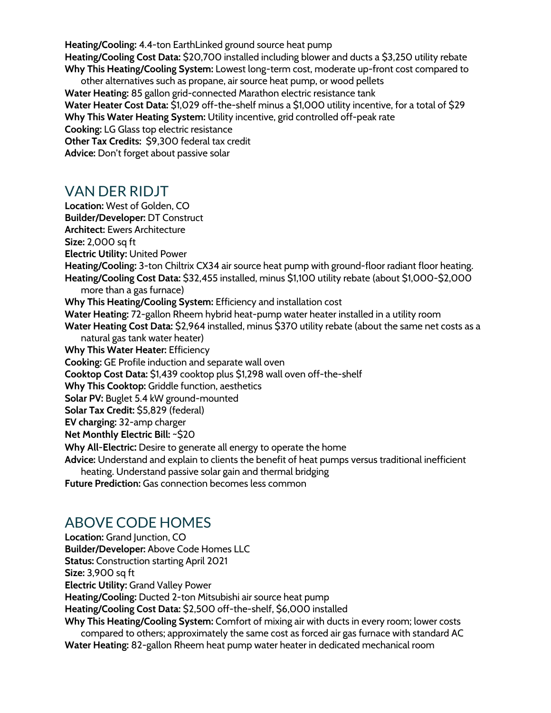**Heating/Cooling:** 4.4-ton EarthLinked ground source heat pump **Heating/Cooling Cost Data:** \$20,700 installed including blower and ducts a \$3,250 utility rebate **Why This Heating/Cooling System:** Lowest long-term cost, moderate up-front cost compared to other alternatives such as propane, air source heat pump, or wood pellets **Water Heating:** 85 gallon grid-connected Marathon electric resistance tank **Water Heater Cost Data:** \$1,029 off-the-shelf minus a \$1,000 utility incentive, for a total of \$29 **Why This Water Heating System:** Utility incentive, grid controlled off-peak rate

**Cooking:** LG Glass top electric resistance **Other Tax Credits:** \$9,300 federal tax credit

**Advice:** Don't forget about passive solar

## VAN DER RIDJT

**Location:** West of Golden, CO **Builder/Developer:** DT Construct **Architect:** Ewers Architecture **Size:** 2,000 sq ft **Electric Utility:** United Power **Heating/Cooling:** 3-ton Chiltrix CX34 air source heat pump with ground-floor radiant floor heating. **Heating/Cooling Cost Data:** \$32,455 installed, minus \$1,100 utility rebate (about \$1,000-\$2,000 more than a gas furnace) **Why This Heating/Cooling System:** Efficiency and installation cost **Water Heating:** 72-gallon Rheem hybrid heat-pump water heater installed in a utility room **Water Heating Cost Data:** \$2,964 installed, minus \$370 utility rebate (about the same net costs as a natural gas tank water heater) **Why This Water Heater:** Efficiency **Cooking:** GE Profile induction and separate wall oven **Cooktop Cost Data:** \$1,439 cooktop plus \$1,298 wall oven off-the-shelf **Why This Cooktop:** Griddle function, aesthetics **Solar PV:** Buglet 5.4 kW ground-mounted **Solar Tax Credit:** \$5,829 (federal) **EV charging:** 32-amp charger **Net Monthly Electric Bill:** ~\$20 **Why All-Electric:** Desire to generate all energy to operate the home **Advice:** Understand and explain to clients the benefit of heat pumps versus traditional inefficient

heating. Understand passive solar gain and thermal bridging

**Future Prediction:** Gas connection becomes less common

# ABOVE CODE HOMES

**Location:** Grand Junction, CO **Builder/Developer:** Above Code Homes LLC **Status:** Construction starting April 2021 **Size:** 3,900 sq ft **Electric Utility:** Grand Valley Power **Heating/Cooling:** Ducted 2-ton Mitsubishi air source heat pump **Heating/Cooling Cost Data:** \$2,500 off-the-shelf, \$6,000 installed **Why This Heating/Cooling System:** Comfort of mixing air with ducts in every room; lower costs compared to others; approximately the same cost as forced air gas furnace with standard AC **Water Heating:** 82-gallon Rheem heat pump water heater in dedicated mechanical room